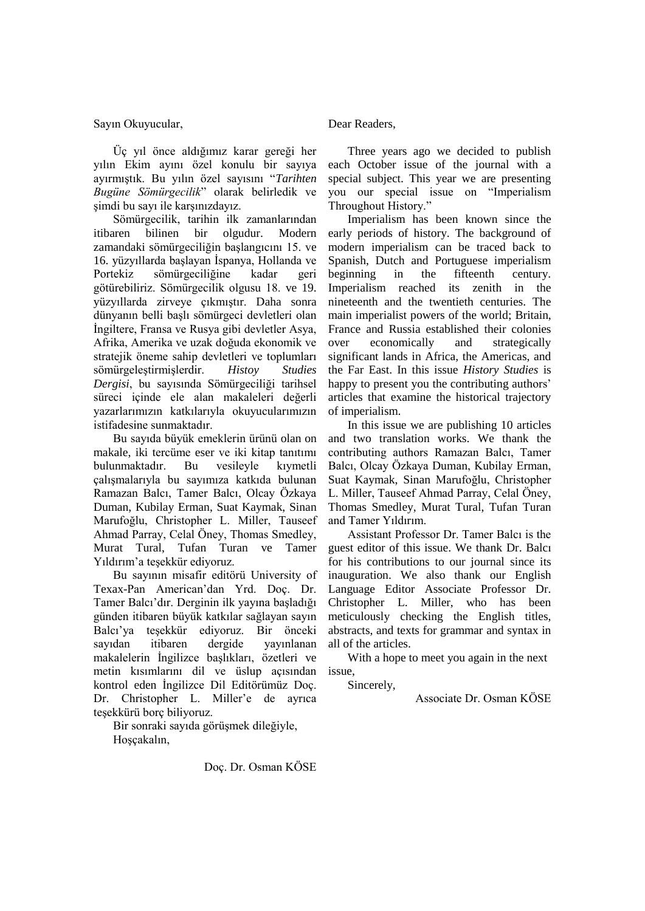Sayın Okuyucular,

Üç yıl önce aldığımız karar gereği her yılın Ekim ayını özel konulu bir sayıya ayırmıştık. Bu yılın özel sayısını "*Tarihten Bugüne Sömürgecilik*" olarak belirledik ve şimdi bu sayı ile karşınızdayız.

Sömürgecilik, tarihin ilk zamanlarından itibaren bilinen bir olgudur. Modern zamandaki sömürgeciliğin başlangıcını 15. ve 16. yüzyıllarda başlayan İspanya, Hollanda ve Portekiz sömürgeciliğine kadar geri götürebiliriz. Sömürgecilik olgusu 18. ve 19. yüzyıllarda zirveye çıkmıştır. Daha sonra dünyanın belli başlı sömürgeci devletleri olan İngiltere, Fransa ve Rusya gibi devletler Asya, Afrika, Amerika ve uzak doğuda ekonomik ve stratejik öneme sahip devletleri ve toplumları sömürgeleştirmişlerdir. *Histoy Studies Dergisi*, bu sayısında Sömürgeciliği tarihsel süreci içinde ele alan makaleleri değerli yazarlarımızın katkılarıyla okuyucularımızın istifadesine sunmaktadır.

Bu sayıda büyük emeklerin ürünü olan on makale, iki tercüme eser ve iki kitap tanıtımı bulunmaktadır. Bu vesileyle kıymetli çalışmalarıyla bu sayımıza katkıda bulunan Ramazan Balcı, Tamer Balcı, Olcay Özkaya Duman, Kubilay Erman, Suat Kaymak, Sinan Marufoğlu, Christopher L. Miller, Tauseef Ahmad Parray, Celal Öney, Thomas Smedley, Murat Tural, Tufan Turan ve Tamer Yıldırım"a teşekkür ediyoruz.

Bu sayının misafir editörü University of Texax-Pan American"dan Yrd. Doç. Dr. Tamer Balcı"dır. Derginin ilk yayına başladığı günden itibaren büyük katkılar sağlayan sayın Balcı"ya teşekkür ediyoruz. Bir önceki sayıdan itibaren dergide yayınlanan makalelerin İngilizce başlıkları, özetleri ve metin kısımlarını dil ve üslup açısından kontrol eden İngilizce Dil Editörümüz Doç. Dr. Christopher L. Miller'e de ayrıca teşekkürü borç biliyoruz.

Bir sonraki sayıda görüşmek dileğiyle, Hoşçakalın,

Dear Readers,

Three years ago we decided to publish each October issue of the journal with a special subject. This year we are presenting you our special issue on "Imperialism Throughout History."

Imperialism has been known since the early periods of history. The background of modern imperialism can be traced back to Spanish, Dutch and Portuguese imperialism beginning in the fifteenth century. Imperialism reached its zenith in the nineteenth and the twentieth centuries. The main imperialist powers of the world; Britain, France and Russia established their colonies over economically and strategically significant lands in Africa, the Americas, and the Far East. In this issue *History Studies* is happy to present you the contributing authors' articles that examine the historical trajectory of imperialism.

In this issue we are publishing 10 articles and two translation works. We thank the contributing authors Ramazan Balcı, Tamer Balcı, Olcay Özkaya Duman, Kubilay Erman, Suat Kaymak, Sinan Marufoğlu, Christopher L. Miller, Tauseef Ahmad Parray, Celal Öney, Thomas Smedley, Murat Tural, Tufan Turan and Tamer Yıldırım.

Assistant Professor Dr. Tamer Balcı is the guest editor of this issue. We thank Dr. Balcı for his contributions to our journal since its inauguration. We also thank our English Language Editor Associate Professor Dr. Christopher L. Miller, who has been meticulously checking the English titles, abstracts, and texts for grammar and syntax in all of the articles.

With a hope to meet you again in the next issue,

Sincerely,

Associate Dr. Osman KÖSE

Doç. Dr. Osman KÖSE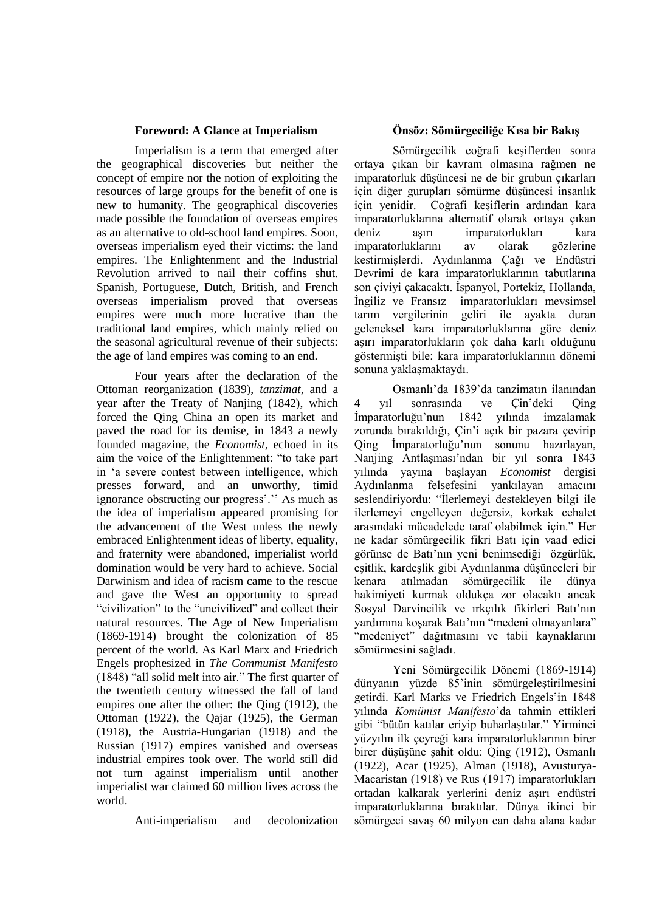## **Foreword: A Glance at Imperialism**

Imperialism is a term that emerged after the geographical discoveries but neither the concept of empire nor the notion of exploiting the resources of large groups for the benefit of one is new to humanity. The geographical discoveries made possible the foundation of overseas empires as an alternative to old-school land empires. Soon, overseas imperialism eyed their victims: the land empires. The Enlightenment and the Industrial Revolution arrived to nail their coffins shut. Spanish, Portuguese, Dutch, British, and French overseas imperialism proved that overseas empires were much more lucrative than the traditional land empires, which mainly relied on the seasonal agricultural revenue of their subjects: the age of land empires was coming to an end.

Four years after the declaration of the Ottoman reorganization (1839), *tanzimat*, and a year after the Treaty of Nanjing (1842), which forced the Qing China an open its market and paved the road for its demise, in 1843 a newly founded magazine, the *Economist*, echoed in its aim the voice of the Enlightenment: "to take part in "a severe contest between intelligence, which presses forward, and an unworthy, timid ignorance obstructing our progress'." As much as the idea of imperialism appeared promising for the advancement of the West unless the newly embraced Enlightenment ideas of liberty, equality, and fraternity were abandoned, imperialist world domination would be very hard to achieve. Social Darwinism and idea of racism came to the rescue and gave the West an opportunity to spread "civilization" to the "uncivilized" and collect their natural resources. The Age of New Imperialism (1869-1914) brought the colonization of 85 percent of the world. As Karl Marx and Friedrich Engels prophesized in *The Communist Manifesto* (1848) "all solid melt into air." The first quarter of the twentieth century witnessed the fall of land empires one after the other: the Qing (1912), the Ottoman (1922), the Qajar (1925), the German (1918), the Austria-Hungarian (1918) and the Russian (1917) empires vanished and overseas industrial empires took over. The world still did not turn against imperialism until another imperialist war claimed 60 million lives across the world.

Anti-imperialism and decolonization

## **Önsöz: Sömürgeciliğe Kısa bir Bakış**

Sömürgecilik coğrafi keşiflerden sonra ortaya çıkan bir kavram olmasına rağmen ne imparatorluk düşüncesi ne de bir grubun çıkarları için diğer gurupları sömürme düşüncesi insanlık için yenidir. Coğrafi keşiflerin ardından kara imparatorluklarına alternatif olarak ortaya çıkan deniz aşırı imparatorlukları kara imparatorluklarını av olarak gözlerine kestirmişlerdi. Aydınlanma Çağı ve Endüstri Devrimi de kara imparatorluklarının tabutlarına son çiviyi çakacaktı. İspanyol, Portekiz, Hollanda, İngiliz ve Fransız imparatorlukları mevsimsel tarım vergilerinin geliri ile ayakta duran geleneksel kara imparatorluklarına göre deniz aşırı imparatorlukların çok daha karlı olduğunu göstermişti bile: kara imparatorluklarının dönemi sonuna yaklaşmaktaydı.

Osmanlı"da 1839"da tanzimatın ilanından 4 yıl sonrasında ve Çin"deki Qing İmparatorluğu"nun 1842 yılında imzalamak zorunda bırakıldığı, Çin"i açık bir pazara çevirip Qing İmparatorluğu"nun sonunu hazırlayan, Nanjing Antlaşması"ndan bir yıl sonra 1843 yılında yayına başlayan *Economist* dergisi Aydınlanma felsefesini yankılayan amacını seslendiriyordu: "İlerlemeyi destekleyen bilgi ile ilerlemeyi engelleyen değersiz, korkak cehalet arasındaki mücadelede taraf olabilmek için." Her ne kadar sömürgecilik fikri Batı için vaad edici görünse de Batı"nın yeni benimsediği özgürlük, eşitlik, kardeşlik gibi Aydınlanma düşünceleri bir kenara atılmadan sömürgecilik ile dünya hakimiyeti kurmak oldukça zor olacaktı ancak Sosyal Darvincilik ve ırkçılık fikirleri Batı"nın yardımına koşarak Batı"nın "medeni olmayanlara" "medeniyet" dağıtmasını ve tabii kaynaklarını sömürmesini sağladı.

Yeni Sömürgecilik Dönemi (1869-1914) dünyanın yüzde 85"inin sömürgeleştirilmesini getirdi. Karl Marks ve Friedrich Engels"in 1848 yılında *Komünist Manifesto*"da tahmin ettikleri gibi "bütün katılar eriyip buharlaştılar." Yirminci yüzyılın ilk çeyreği kara imparatorluklarının birer birer düşüşüne şahit oldu: Qing (1912), Osmanlı (1922), Acar (1925), Alman (1918), Avusturya-Macaristan (1918) ve Rus (1917) imparatorlukları ortadan kalkarak yerlerini deniz aşırı endüstri imparatorluklarına bıraktılar. Dünya ikinci bir sömürgeci savaş 60 milyon can daha alana kadar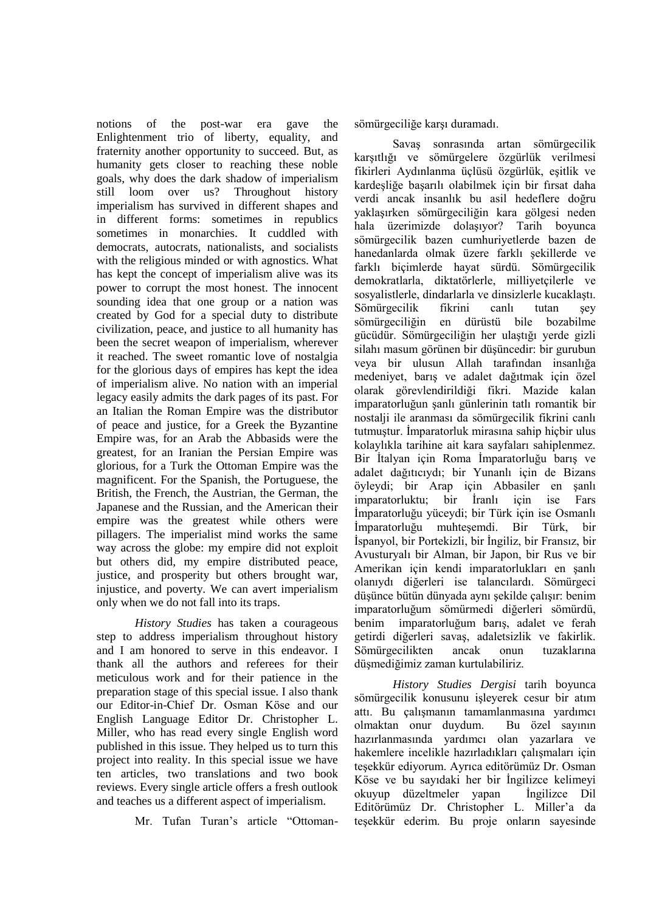notions of the post-war era gave the Enlightenment trio of liberty, equality, and fraternity another opportunity to succeed. But, as humanity gets closer to reaching these noble goals, why does the dark shadow of imperialism still loom over us? Throughout history imperialism has survived in different shapes and in different forms: sometimes in republics sometimes in monarchies. It cuddled with democrats, autocrats, nationalists, and socialists with the religious minded or with agnostics. What has kept the concept of imperialism alive was its power to corrupt the most honest. The innocent sounding idea that one group or a nation was created by God for a special duty to distribute civilization, peace, and justice to all humanity has been the secret weapon of imperialism, wherever it reached. The sweet romantic love of nostalgia for the glorious days of empires has kept the idea of imperialism alive. No nation with an imperial legacy easily admits the dark pages of its past. For an Italian the Roman Empire was the distributor of peace and justice, for a Greek the Byzantine Empire was, for an Arab the Abbasids were the greatest, for an Iranian the Persian Empire was glorious, for a Turk the Ottoman Empire was the magnificent. For the Spanish, the Portuguese, the British, the French, the Austrian, the German, the Japanese and the Russian, and the American their empire was the greatest while others were pillagers. The imperialist mind works the same way across the globe: my empire did not exploit but others did, my empire distributed peace, justice, and prosperity but others brought war, injustice, and poverty. We can avert imperialism only when we do not fall into its traps.

*History Studies* has taken a courageous step to address imperialism throughout history and I am honored to serve in this endeavor. I thank all the authors and referees for their meticulous work and for their patience in the preparation stage of this special issue. I also thank our Editor-in-Chief Dr. Osman Köse and our English Language Editor Dr. Christopher L. Miller, who has read every single English word published in this issue. They helped us to turn this project into reality. In this special issue we have ten articles, two translations and two book reviews. Every single article offers a fresh outlook and teaches us a different aspect of imperialism.

Mr. Tufan Turan"s article "Ottoman-

sömürgeciliğe karşı duramadı.

Savaş sonrasında artan sömürgecilik karşıtlığı ve sömürgelere özgürlük verilmesi fikirleri Aydınlanma üçlüsü özgürlük, eşitlik ve kardeşliğe başarılı olabilmek için bir fırsat daha verdi ancak insanlık bu asil hedeflere doğru yaklaşırken sömürgeciliğin kara gölgesi neden hala üzerimizde dolaşıyor? Tarih boyunca sömürgecilik bazen cumhuriyetlerde bazen de hanedanlarda olmak üzere farklı şekillerde ve farklı biçimlerde hayat sürdü. Sömürgecilik demokratlarla, diktatörlerle, milliyetçilerle ve sosyalistlerle, dindarlarla ve dinsizlerle kucaklaştı. Sömürgecilik fikrini canlı tutan şey sömürgeciliğin en dürüstü bile bozabilme gücüdür. Sömürgeciliğin her ulaştığı yerde gizli silahı masum görünen bir düşüncedir: bir gurubun veya bir ulusun Allah tarafından insanlığa medeniyet, barış ve adalet dağıtmak için özel olarak görevlendirildiği fikri. Mazide kalan imparatorluğun şanlı günlerinin tatlı romantik bir nostalji ile aranması da sömürgecilik fikrini canlı tutmuştur. İmparatorluk mirasına sahip hiçbir ulus kolaylıkla tarihine ait kara sayfaları sahiplenmez. Bir İtalyan için Roma İmparatorluğu barış ve adalet dağıtıcıydı; bir Yunanlı için de Bizans öyleydi; bir Arap için Abbasiler en şanlı imparatorluktu; bir İranlı için ise Fars İmparatorluğu yüceydi; bir Türk için ise Osmanlı İmparatorluğu muhteşemdi. Bir Türk, bir İspanyol, bir Portekizli, bir İngiliz, bir Fransız, bir Avusturyalı bir Alman, bir Japon, bir Rus ve bir Amerikan için kendi imparatorlukları en şanlı olanıydı diğerleri ise talancılardı. Sömürgeci düşünce bütün dünyada aynı şekilde çalışır: benim imparatorluğum sömürmedi diğerleri sömürdü, benim imparatorluğum barış, adalet ve ferah getirdi diğerleri savaş, adaletsizlik ve fakirlik. Sömürgecilikten ancak onun tuzaklarına düşmediğimiz zaman kurtulabiliriz.

*History Studies Dergisi* tarih boyunca sömürgecilik konusunu işleyerek cesur bir atım attı. Bu çalışmanın tamamlanmasına yardımcı olmaktan onur duydum. Bu özel sayının hazırlanmasında yardımcı olan yazarlara ve hakemlere incelikle hazırladıkları çalışmaları için teşekkür ediyorum. Ayrıca editörümüz Dr. Osman Köse ve bu sayıdaki her bir İngilizce kelimeyi okuyup düzeltmeler yapan İngilizce Dil Editörümüz Dr. Christopher L. Miller'a da teşekkür ederim. Bu proje onların sayesinde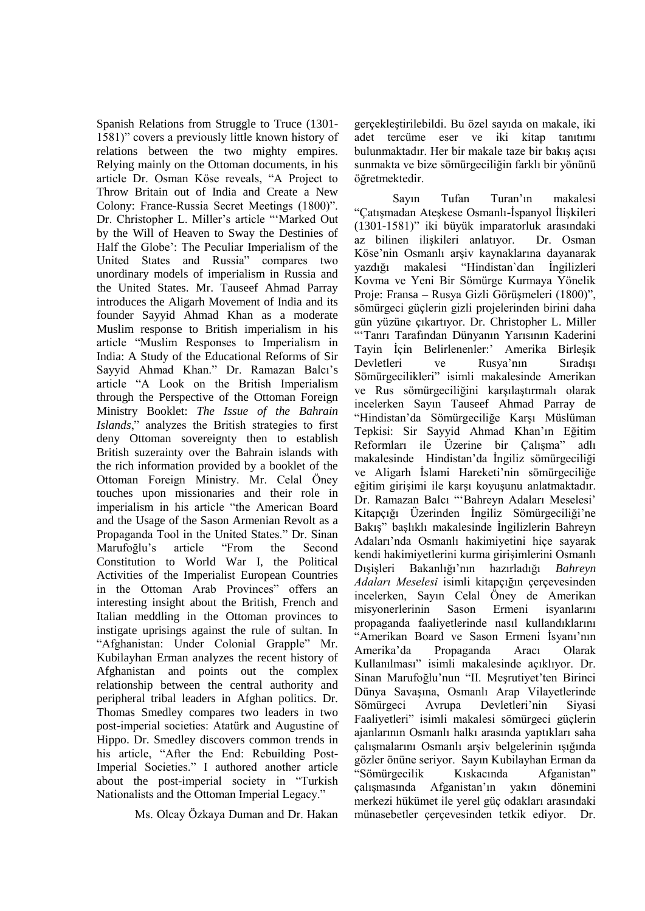Spanish Relations from Struggle to Truce (1301- 1581)" covers a previously little known history of relations between the two mighty empires. Relying mainly on the Ottoman documents, in his article Dr. Osman Köse reveals, "A Project to Throw Britain out of India and Create a New Colony: France-Russia Secret Meetings (1800)". Dr. Christopher L. Miller"s article ""Marked Out by the Will of Heaven to Sway the Destinies of Half the Globe": The Peculiar Imperialism of the United States and Russia" compares two unordinary models of imperialism in Russia and the United States. Mr. Tauseef Ahmad Parray introduces the Aligarh Movement of India and its founder Sayyid Ahmad Khan as a moderate Muslim response to British imperialism in his article "Muslim Responses to Imperialism in India: A Study of the Educational Reforms of Sir Sayyid Ahmad Khan." Dr. Ramazan Balcı"s article "A Look on the British Imperialism through the Perspective of the Ottoman Foreign Ministry Booklet: *The Issue of the Bahrain Islands*," analyzes the British strategies to first deny Ottoman sovereignty then to establish British suzerainty over the Bahrain islands with the rich information provided by a booklet of the Ottoman Foreign Ministry. Mr. Celal Öney touches upon missionaries and their role in imperialism in his article "the American Board and the Usage of the Sason Armenian Revolt as a Propaganda Tool in the United States." Dr. Sinan Marufoğlu"s article "From the Second Constitution to World War I, the Political Activities of the Imperialist European Countries in the Ottoman Arab Provinces" offers an interesting insight about the British, French and Italian meddling in the Ottoman provinces to instigate uprisings against the rule of sultan. In "Afghanistan: Under Colonial Grapple" Mr. Kubilayhan Erman analyzes the recent history of Afghanistan and points out the complex relationship between the central authority and peripheral tribal leaders in Afghan politics. Dr. Thomas Smedley compares two leaders in two post-imperial societies: Atatürk and Augustine of Hippo. Dr. Smedley discovers common trends in his article, "After the End: Rebuilding Post-Imperial Societies." I authored another article about the post-imperial society in "Turkish Nationalists and the Ottoman Imperial Legacy."

Ms. Olcay Özkaya Duman and Dr. Hakan

gerçekleştirilebildi. Bu özel sayıda on makale, iki adet tercüme eser ve iki kitap tanıtımı bulunmaktadır. Her bir makale taze bir bakış açısı sunmakta ve bize sömürgeciliğin farklı bir yönünü öğretmektedir.

Sayın Tufan Turan"ın makalesi "Çatışmadan Ateşkese Osmanlı-İspanyol İlişkileri (1301-1581)" iki büyük imparatorluk arasındaki az bilinen ilişkileri anlatıyor. Dr. Osman Köse"nin Osmanlı arşiv kaynaklarına dayanarak yazdığı makalesi "Hindistan`dan İngilizleri Kovma ve Yeni Bir Sömürge Kurmaya Yönelik Proje: Fransa – Rusya Gizli Görüşmeleri (1800)", sömürgeci güçlerin gizli projelerinden birini daha gün yüzüne çıkartıyor. Dr. Christopher L. Miller ""Tanrı Tarafından Dünyanın Yarısının Kaderini Tayin İçin Belirlenenler:" Amerika Birleşik Devletleri ve Rusya"nın Sıradışı Sömürgecilikleri" isimli makalesinde Amerikan ve Rus sömürgeciliğini karşılaştırmalı olarak incelerken Sayın Tauseef Ahmad Parray de "Hindistan"da Sömürgeciliğe Karşı Müslüman Tepkisi: Sir Sayyid Ahmad Khan"ın Eğitim Reformları ile Üzerine bir Çalışma" adlı makalesinde Hindistan"da İngiliz sömürgeciliği ve Aligarh İslami Hareketi"nin sömürgeciliğe eğitim girişimi ile karşı koyuşunu anlatmaktadır. Dr. Ramazan Balcı ""Bahreyn Adaları Meselesi" Kitapçığı Üzerinden İngiliz Sömürgeciliği"ne Bakış" başlıklı makalesinde İngilizlerin Bahreyn Adaları"nda Osmanlı hakimiyetini hiçe sayarak kendi hakimiyetlerini kurma girişimlerini Osmanlı Dışişleri Bakanlığı"nın hazırladığı *Bahreyn Adaları Meselesi* isimli kitapçığın çerçevesinden incelerken, Sayın Celal Öney de Amerikan misyonerlerinin Sason Ermeni isyanlarını propaganda faaliyetlerinde nasıl kullandıklarını "Amerikan Board ve Sason Ermeni İsyanı"nın Amerika"da Propaganda Aracı Olarak Kullanılması" isimli makalesinde açıklıyor. Dr. Sinan Marufoğlu'nun "II. Meşrutiyet'ten Birinci Dünya Savaşına, Osmanlı Arap Vilayetlerinde Sömürgeci Avrupa Devletleri"nin Siyasi Faaliyetleri" isimli makalesi sömürgeci güçlerin ajanlarının Osmanlı halkı arasında yaptıkları saha çalışmalarını Osmanlı arşiv belgelerinin ışığında gözler önüne seriyor. Sayın Kubilayhan Erman da "Sömürgecilik Kıskacında Afganistan" çalışmasında Afganistan"ın yakın dönemini merkezi hükümet ile yerel güç odakları arasındaki münasebetler çerçevesinden tetkik ediyor. Dr.